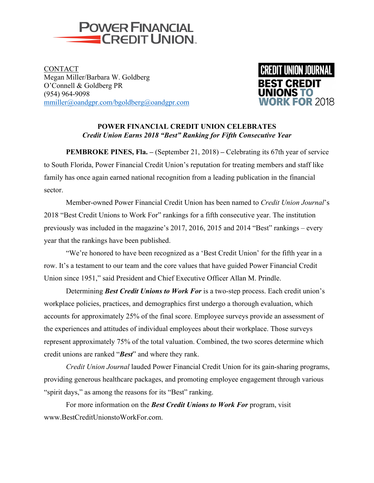

**CONTACT** Megan Miller/Barbara W. Goldberg O'Connell & Goldberg PR (954) 964-9098 mmiller@oandgpr.com/bgoldberg@oandgpr.com



## **POWER FINANCIAL CREDIT UNION CELEBRATES**  *Credit Union Earns 2018 "Best" Ranking for Fifth Consecutive Year*

**PEMBROKE PINES, Fla. –** (September 21, 2018) **–** Celebrating its 67th year of service to South Florida, Power Financial Credit Union's reputation for treating members and staff like family has once again earned national recognition from a leading publication in the financial sector.

Member-owned Power Financial Credit Union has been named to *Credit Union Journal*'s 2018 "Best Credit Unions to Work For" rankings for a fifth consecutive year. The institution previously was included in the magazine's 2017, 2016, 2015 and 2014 "Best" rankings – every year that the rankings have been published.

"We're honored to have been recognized as a 'Best Credit Union' for the fifth year in a row. It's a testament to our team and the core values that have guided Power Financial Credit Union since 1951," said President and Chief Executive Officer Allan M. Prindle.

Determining *Best Credit Unions to Work For* is a two-step process. Each credit union's workplace policies, practices, and demographics first undergo a thorough evaluation, which accounts for approximately 25% of the final score. Employee surveys provide an assessment of the experiences and attitudes of individual employees about their workplace. Those surveys represent approximately 75% of the total valuation. Combined, the two scores determine which credit unions are ranked "*Best*" and where they rank.

*Credit Union Journal* lauded Power Financial Credit Union for its gain-sharing programs, providing generous healthcare packages, and promoting employee engagement through various "spirit days," as among the reasons for its "Best" ranking.

For more information on the *Best Credit Unions to Work For* program, visit www.BestCreditUnionstoWorkFor.com.